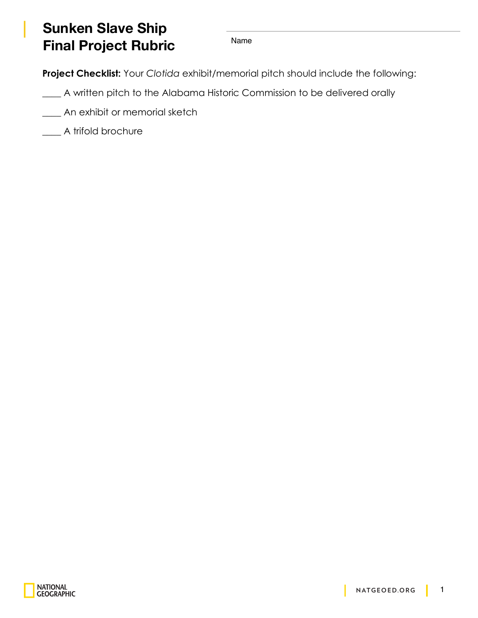## **Sunken Slave Ship Final Project Rubric** Name

**Project Checklist:** Your *Clotida* exhibit/memorial pitch should include the following:

- \_\_\_\_ A written pitch to the Alabama Historic Commission to be delivered orally
	- An exhibit or memorial sketch
- \_\_\_\_ A trifold brochure